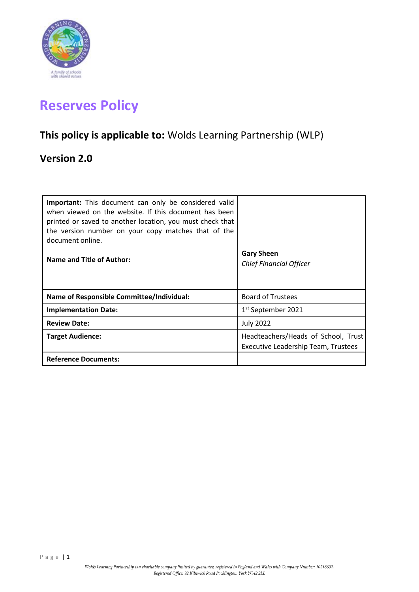

# **Reserves Policy**

# **This policy is applicable to:** Wolds Learning Partnership (WLP)

# **Version 2.0**

| <b>Important:</b> This document can only be considered valid<br>when viewed on the website. If this document has been<br>printed or saved to another location, you must check that<br>the version number on your copy matches that of the<br>document online.<br>Name and Title of Author: | <b>Gary Sheen</b><br><b>Chief Financial Officer</b>                        |
|--------------------------------------------------------------------------------------------------------------------------------------------------------------------------------------------------------------------------------------------------------------------------------------------|----------------------------------------------------------------------------|
| <b>Name of Responsible Committee/Individual:</b>                                                                                                                                                                                                                                           | <b>Board of Trustees</b>                                                   |
| <b>Implementation Date:</b>                                                                                                                                                                                                                                                                | 1 <sup>st</sup> September 2021                                             |
| <b>Review Date:</b>                                                                                                                                                                                                                                                                        | <b>July 2022</b>                                                           |
| <b>Target Audience:</b>                                                                                                                                                                                                                                                                    | Headteachers/Heads of School, Trust<br>Executive Leadership Team, Trustees |
| <b>Reference Documents:</b>                                                                                                                                                                                                                                                                |                                                                            |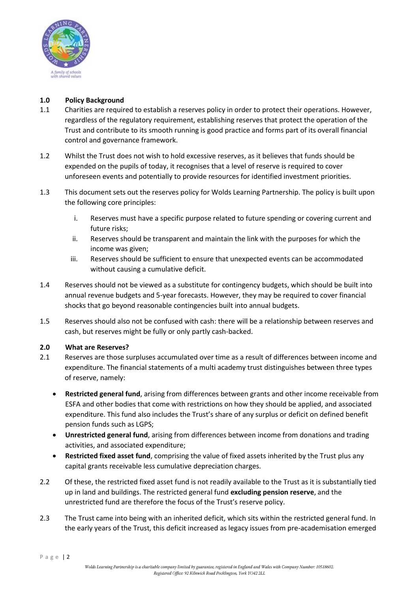

## **1.0 Policy Background**

- 1.1 Charities are required to establish a reserves policy in order to protect their operations. However, regardless of the regulatory requirement, establishing reserves that protect the operation of the Trust and contribute to its smooth running is good practice and forms part of its overall financial control and governance framework.
- 1.2 Whilst the Trust does not wish to hold excessive reserves, as it believes that funds should be expended on the pupils of today, it recognises that a level of reserve is required to cover unforeseen events and potentially to provide resources for identified investment priorities.
- 1.3 This document sets out the reserves policy for Wolds Learning Partnership. The policy is built upon the following core principles:
	- i. Reserves must have a specific purpose related to future spending or covering current and future risks;
	- ii. Reserves should be transparent and maintain the link with the purposes for which the income was given;
	- iii. Reserves should be sufficient to ensure that unexpected events can be accommodated without causing a cumulative deficit.
- 1.4 Reserves should not be viewed as a substitute for contingency budgets, which should be built into annual revenue budgets and 5-year forecasts. However, they may be required to cover financial shocks that go beyond reasonable contingencies built into annual budgets.
- 1.5 Reserves should also not be confused with cash: there will be a relationship between reserves and cash, but reserves might be fully or only partly cash-backed.

#### **2.0 What are Reserves?**

- 2.1 Reserves are those surpluses accumulated over time as a result of differences between income and expenditure. The financial statements of a multi academy trust distinguishes between three types of reserve, namely:
	- **Restricted general fund**, arising from differences between grants and other income receivable from ESFA and other bodies that come with restrictions on how they should be applied, and associated expenditure. This fund also includes the Trust's share of any surplus or deficit on defined benefit pension funds such as LGPS;
	- **Unrestricted general fund**, arising from differences between income from donations and trading activities, and associated expenditure;
	- **Restricted fixed asset fund**, comprising the value of fixed assets inherited by the Trust plus any capital grants receivable less cumulative depreciation charges.
- 2.2 Of these, the restricted fixed asset fund is not readily available to the Trust as it is substantially tied up in land and buildings. The restricted general fund **excluding pension reserve**, and the unrestricted fund are therefore the focus of the Trust's reserve policy.
- 2.3 The Trust came into being with an inherited deficit, which sits within the restricted general fund. In the early years of the Trust, this deficit increased as legacy issues from pre-academisation emerged